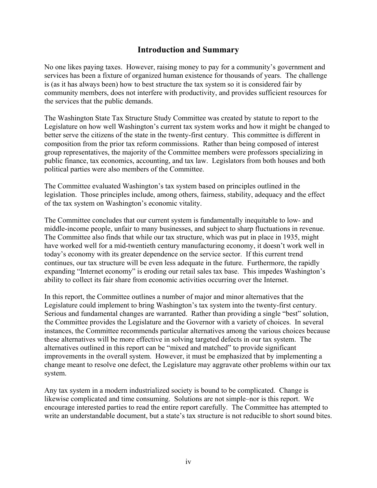# **Introduction and Summary**

No one likes paying taxes. However, raising money to pay for a community's government and services has been a fixture of organized human existence for thousands of years. The challenge is (as it has always been) how to best structure the tax system so it is considered fair by community members, does not interfere with productivity, and provides sufficient resources for the services that the public demands.

The Washington State Tax Structure Study Committee was created by statute to report to the Legislature on how well Washington's current tax system works and how it might be changed to better serve the citizens of the state in the twenty-first century. This committee is different in composition from the prior tax reform commissions. Rather than being composed of interest group representatives, the majority of the Committee members were professors specializing in public finance, tax economics, accounting, and tax law. Legislators from both houses and both political parties were also members of the Committee.

The Committee evaluated Washington's tax system based on principles outlined in the legislation. Those principles include, among others, fairness, stability, adequacy and the effect of the tax system on Washington's economic vitality.

The Committee concludes that our current system is fundamentally inequitable to low- and middle-income people, unfair to many businesses, and subject to sharp fluctuations in revenue. The Committee also finds that while our tax structure, which was put in place in 1935, might have worked well for a mid-twentieth century manufacturing economy, it doesn't work well in today's economy with its greater dependence on the service sector. If this current trend continues, our tax structure will be even less adequate in the future. Furthermore, the rapidly expanding "Internet economy" is eroding our retail sales tax base. This impedes Washington's ability to collect its fair share from economic activities occurring over the Internet.

In this report, the Committee outlines a number of major and minor alternatives that the Legislature could implement to bring Washington's tax system into the twenty-first century. Serious and fundamental changes are warranted. Rather than providing a single "best" solution, the Committee provides the Legislature and the Governor with a variety of choices. In several instances, the Committee recommends particular alternatives among the various choices because these alternatives will be more effective in solving targeted defects in our tax system. The alternatives outlined in this report can be "mixed and matched" to provide significant improvements in the overall system. However, it must be emphasized that by implementing a change meant to resolve one defect, the Legislature may aggravate other problems within our tax system.

Any tax system in a modern industrialized society is bound to be complicated. Change is likewise complicated and time consuming. Solutions are not simple–nor is this report. We encourage interested parties to read the entire report carefully. The Committee has attempted to write an understandable document, but a state's tax structure is not reducible to short sound bites.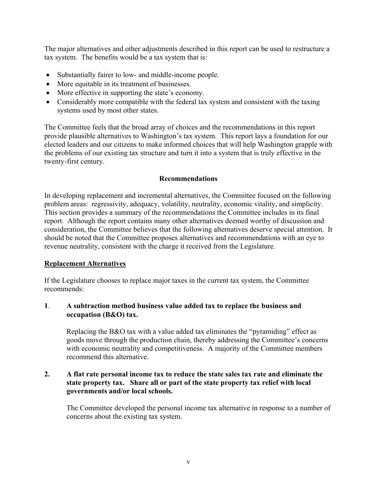The major alternatives and other adjustments described in this report can be used to restructure a tax system. The benefits would be a tax system that is:

- Substantially fairer to low- and middle-income people.
- More equitable in its treatment of businesses.
- More effective in supporting the state's economy.
- Considerably more compatible with the federal tax system and consistent with the taxing systems used by most other states.

The Committee feels that the broad array of choices and the recommendations in this report provide plausible alternatives to Washington's tax system. This report lays a foundation for our elected leaders and our citizens to make informed choices that will help Washington grapple with the problems of our existing tax structure and turn it into a system that is truly effective in the twenty-first century.

## **Recommendations**

In developing replacement and incremental alternatives, the Committee focused on the following problem areas: regressivity, adequacy, volatility, neutrality, economic vitality, and simplicity. This section provides a summary of the recommendations the Committee includes in its final report. Although the report contains many other alternatives deemed worthy of discussion and consideration, the Committee believes that the following alternatives deserve special attention. It should be noted that the Committee proposes alternatives and recommendations with an eye to revenue neutrality, consistent with the charge it received from the Legislature.

## **Replacement Alternatives**

If the Legislature chooses to replace major taxes in the current tax system, the Committee recommends:

## **1**. **A subtraction method business value added tax to replace the business and occupation (B&O) tax.**

Replacing the B&O tax with a value added tax eliminates the "pyramiding" effect as goods move through the production chain, thereby addressing the Committee's concerns with economic neutrality and competitiveness. A majority of the Committee members recommend this alternative.

#### **2. A flat rate personal income tax to reduce the state sales tax rate and eliminate the state property tax. Share all or part of the state property tax relief with local governments and/or local schools.**

The Committee developed the personal income tax alternative in response to a number of concerns about the existing tax system.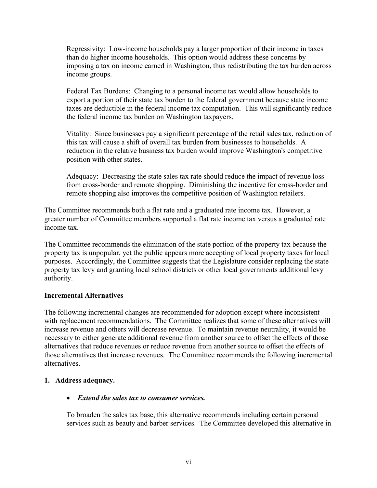Regressivity: Low-income households pay a larger proportion of their income in taxes than do higher income households. This option would address these concerns by imposing a tax on income earned in Washington, thus redistributing the tax burden across income groups.

Federal Tax Burdens: Changing to a personal income tax would allow households to export a portion of their state tax burden to the federal government because state income taxes are deductible in the federal income tax computation. This will significantly reduce the federal income tax burden on Washington taxpayers.

Vitality: Since businesses pay a significant percentage of the retail sales tax, reduction of this tax will cause a shift of overall tax burden from businesses to households. A reduction in the relative business tax burden would improve Washington's competitive position with other states.

Adequacy: Decreasing the state sales tax rate should reduce the impact of revenue loss from cross-border and remote shopping. Diminishing the incentive for cross-border and remote shopping also improves the competitive position of Washington retailers.

The Committee recommends both a flat rate and a graduated rate income tax. However, a greater number of Committee members supported a flat rate income tax versus a graduated rate income tax.

The Committee recommends the elimination of the state portion of the property tax because the property tax is unpopular, yet the public appears more accepting of local property taxes for local purposes. Accordingly, the Committee suggests that the Legislature consider replacing the state property tax levy and granting local school districts or other local governments additional levy authority.

#### **Incremental Alternatives**

The following incremental changes are recommended for adoption except where inconsistent with replacement recommendations. The Committee realizes that some of these alternatives will increase revenue and others will decrease revenue. To maintain revenue neutrality, it would be necessary to either generate additional revenue from another source to offset the effects of those alternatives that reduce revenues or reduce revenue from another source to offset the effects of those alternatives that increase revenues. The Committee recommends the following incremental alternatives.

#### **1. Address adequacy.**

## • *Extend the sales tax to consumer services.*

To broaden the sales tax base, this alternative recommends including certain personal services such as beauty and barber services. The Committee developed this alternative in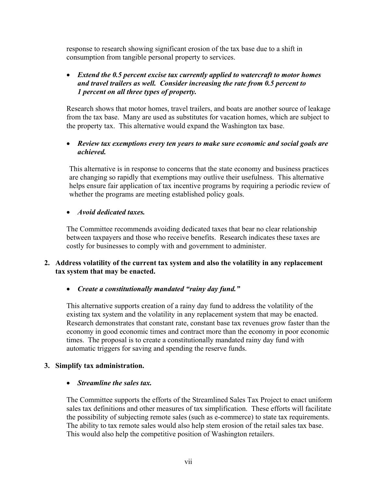response to research showing significant erosion of the tax base due to a shift in consumption from tangible personal property to services.

# • *Extend the 0.5 percent excise tax currently applied to watercraft to motor homes and travel trailers as well. Consider increasing the rate from 0.5 percent to 1 percent on all three types of property.*

Research shows that motor homes, travel trailers, and boats are another source of leakage from the tax base. Many are used as substitutes for vacation homes, which are subject to the property tax. This alternative would expand the Washington tax base.

# • *Review tax exemptions every ten years to make sure economic and social goals are achieved.*

This alternative is in response to concerns that the state economy and business practices are changing so rapidly that exemptions may outlive their usefulness. This alternative helps ensure fair application of tax incentive programs by requiring a periodic review of whether the programs are meeting established policy goals.

## • *Avoid dedicated taxes.*

The Committee recommends avoiding dedicated taxes that bear no clear relationship between taxpayers and those who receive benefits. Research indicates these taxes are costly for businesses to comply with and government to administer.

## **2. Address volatility of the current tax system and also the volatility in any replacement tax system that may be enacted.**

## • *Create a constitutionally mandated "rainy day fund."*

This alternative supports creation of a rainy day fund to address the volatility of the existing tax system and the volatility in any replacement system that may be enacted. Research demonstrates that constant rate, constant base tax revenues grow faster than the economy in good economic times and contract more than the economy in poor economic times. The proposal is to create a constitutionally mandated rainy day fund with automatic triggers for saving and spending the reserve funds.

#### **3. Simplify tax administration.**

#### • *Streamline the sales tax.*

The Committee supports the efforts of the Streamlined Sales Tax Project to enact uniform sales tax definitions and other measures of tax simplification. These efforts will facilitate the possibility of subjecting remote sales (such as e-commerce) to state tax requirements. The ability to tax remote sales would also help stem erosion of the retail sales tax base. This would also help the competitive position of Washington retailers.